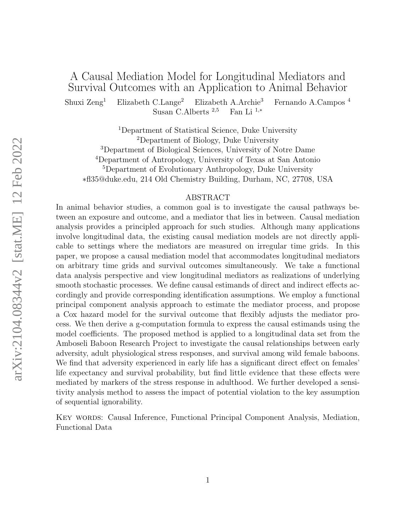### A Causal Mediation Model for Longitudinal Mediators and Survival Outcomes with an Application to Animal Behavior

Shuxi Zeng<sup>1</sup> Elizabeth C.Lange<sup>2</sup> Elizabeth A.Archie<sup>3</sup> Fernando A.Campos <sup>4</sup> Susan C.Alberts <sup>2,5</sup> Fan Li<sup>1,\*</sup> Susan C.Alberts  $2,5$ 

Department of Statistical Science, Duke University Department of Biology, Duke University Department of Biological Sciences, University of Notre Dame Department of Antropology, University of Texas at San Antonio Department of Evolutionary Anthropology, Duke University ∗fl35@duke.edu, 214 Old Chemistry Building, Durham, NC, 27708, USA

#### ABSTRACT

In animal behavior studies, a common goal is to investigate the causal pathways between an exposure and outcome, and a mediator that lies in between. Causal mediation analysis provides a principled approach for such studies. Although many applications involve longitudinal data, the existing causal mediation models are not directly applicable to settings where the mediators are measured on irregular time grids. In this paper, we propose a causal mediation model that accommodates longitudinal mediators on arbitrary time grids and survival outcomes simultaneously. We take a functional data analysis perspective and view longitudinal mediators as realizations of underlying smooth stochastic processes. We define causal estimands of direct and indirect effects accordingly and provide corresponding identification assumptions. We employ a functional principal component analysis approach to estimate the mediator process, and propose a Cox hazard model for the survival outcome that flexibly adjusts the mediator process. We then derive a g-computation formula to express the causal estimands using the model coefficients. The proposed method is applied to a longitudinal data set from the Amboseli Baboon Research Project to investigate the causal relationships between early adversity, adult physiological stress responses, and survival among wild female baboons. We find that adversity experienced in early life has a significant direct effect on females' life expectancy and survival probability, but find little evidence that these effects were mediated by markers of the stress response in adulthood. We further developed a sensitivity analysis method to assess the impact of potential violation to the key assumption of sequential ignorability.

Key words: Causal Inference, Functional Principal Component Analysis, Mediation, Functional Data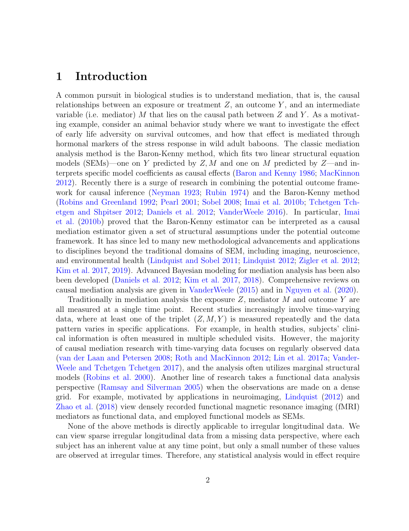### 1 Introduction

A common pursuit in biological studies is to understand mediation, that is, the causal relationships between an exposure or treatment  $Z$ , an outcome  $Y$ , and an intermediate variable (i.e. mediator) M that lies on the causal path between  $Z$  and  $Y$ . As a motivating example, consider an animal behavior study where we want to investigate the effect of early life adversity on survival outcomes, and how that effect is mediated through hormonal markers of the stress response in wild adult baboons. The classic mediation analysis method is the Baron-Kenny method, which fits two linear structural equation models (SEMs)—one on Y predicted by  $Z, M$  and one on M predicted by  $Z$ —and interprets specific model coefficients as causal effects [\(Baron and Kenny](#page-21-0) [1986;](#page-21-0) [MacKinnon](#page-23-0) [2012\)](#page-23-0). Recently there is a surge of research in combining the potential outcome framework for causal inference [\(Neyman](#page-24-0) [1923;](#page-24-0) [Rubin](#page-25-0) [1974\)](#page-25-0) and the Baron-Kenny method [\(Robins and Greenland](#page-24-1) [1992;](#page-24-1) [Pearl](#page-24-2) [2001;](#page-24-2) [Sobel](#page-25-1) [2008;](#page-25-1) [Imai et al.](#page-22-0) [2010b;](#page-22-0) [Tchetgen Tch](#page-25-2)[etgen and Shpitser](#page-25-2) [2012;](#page-25-2) [Daniels et al.](#page-21-1) [2012;](#page-21-1) [VanderWeele](#page-25-3) [2016\)](#page-25-3). In particular, [Imai](#page-22-0) [et al.](#page-22-0) [\(2010b\)](#page-22-0) proved that the Baron-Kenny estimator can be interpreted as a causal mediation estimator given a set of structural assumptions under the potential outcome framework. It has since led to many new methodological advancements and applications to disciplines beyond the traditional domains of SEM, including imaging, neuroscience, and environmental health [\(Lindquist and Sobel](#page-23-1) [2011;](#page-23-1) [Lindquist](#page-23-2) [2012;](#page-23-2) [Zigler et al.](#page-26-0) [2012;](#page-26-0) [Kim et al.](#page-23-3) [2017,](#page-23-3) [2019\)](#page-22-1). Advanced Bayesian modeling for mediation analysis has been also been developed [\(Daniels et al.](#page-21-1) [2012;](#page-21-1) [Kim et al.](#page-23-3) [2017,](#page-23-3) [2018\)](#page-22-2). Comprehensive reviews on causal mediation analysis are given in [VanderWeele](#page-25-4) [\(2015\)](#page-25-4) and in [Nguyen et al.](#page-24-3) [\(2020\)](#page-24-3).

Traditionally in mediation analysis the exposure  $Z$ , mediator  $M$  and outcome  $Y$  are all measured at a single time point. Recent studies increasingly involve time-varying data, where at least one of the triplet  $(Z, M, Y)$  is measured repeatedly and the data pattern varies in specific applications. For example, in health studies, subjects' clinical information is often measured in multiple scheduled visits. However, the majority of causal mediation research with time-varying data focuses on regularly observed data [\(van der Laan and Petersen](#page-25-5) [2008;](#page-25-5) [Roth and MacKinnon](#page-25-6) [2012;](#page-25-6) [Lin et al.](#page-23-4) [2017a;](#page-23-4) [Vander-](#page-25-7)[Weele and Tchetgen Tchetgen](#page-25-7) [2017\)](#page-25-7), and the analysis often utilizes marginal structural models [\(Robins et al.](#page-24-4) [2000\)](#page-24-4). Another line of research takes a functional data analysis perspective [\(Ramsay and Silverman](#page-24-5) [2005\)](#page-24-5) when the observations are made on a dense grid. For example, motivated by applications in neuroimaging, [Lindquist](#page-23-2) [\(2012\)](#page-23-2) and [Zhao et al.](#page-26-1) [\(2018\)](#page-26-1) view densely recorded functional magnetic resonance imaging (fMRI) mediators as functional data, and employed functional models as SEMs.

None of the above methods is directly applicable to irregular longitudinal data. We can view sparse irregular longitudinal data from a missing data perspective, where each subject has an inherent value at any time point, but only a small number of these values are observed at irregular times. Therefore, any statistical analysis would in effect require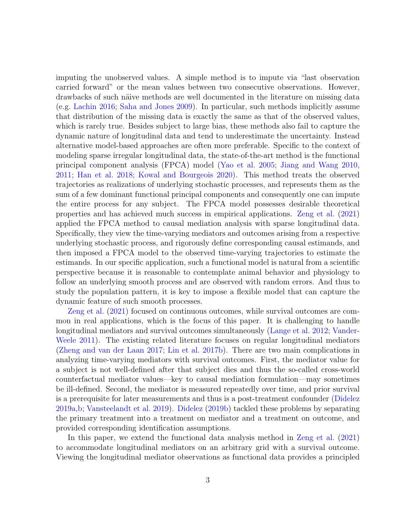imputing the unobserved values. A simple method is to impute via "last observation carried forward" or the mean values between two consecutive observations. However, drawbacks of such näive methods are well documented in the literature on missing data (e.g. [Lachin](#page-23-5) [2016;](#page-23-5) [Saha and Jones](#page-25-8) [2009\)](#page-25-8). In particular, such methods implicitly assume that distribution of the missing data is exactly the same as that of the observed values, which is rarely true. Besides subject to large bias, these methods also fail to capture the dynamic nature of longitudinal data and tend to underestimate the uncertainty. Instead alternative model-based approaches are often more preferable. Specific to the context of modeling sparse irregular longitudinal data, the state-of-the-art method is the functional principal component analysis (FPCA) model [\(Yao et al.](#page-26-2) [2005;](#page-26-2) [Jiang and Wang](#page-22-3) [2010,](#page-22-3) [2011;](#page-22-4) [Han et al.](#page-22-5) [2018;](#page-22-5) [Kowal and Bourgeois](#page-23-6) [2020\)](#page-23-6). This method treats the observed trajectories as realizations of underlying stochastic processes, and represents them as the sum of a few dominant functional principal components and consequently one can impute the entire process for any subject. The FPCA model possesses desirable theoretical properties and has achieved much success in empirical applications. [Zeng et al.](#page-26-3) [\(2021\)](#page-26-3) applied the FPCA method to causal mediation analysis with sparse longitudinal data. Specifically, they view the time-varying mediators and outcomes arising from a respective underlying stochastic process, and rigorously define corresponding causal estimands, and then imposed a FPCA model to the observed time-varying trajectories to estimate the estimands. In our specific application, such a functional model is natural from a scientific perspective because it is reasonable to contemplate animal behavior and physiology to follow an underlying smooth process and are observed with random errors. And thus to study the population pattern, it is key to impose a flexible model that can capture the dynamic feature of such smooth processes.

[Zeng et al.](#page-26-3) [\(2021\)](#page-26-3) focused on continuous outcomes, while survival outcomes are common in real applications, which is the focus of this paper. It is challenging to handle longitudinal mediators and survival outcomes simultaneously [\(Lange et al.](#page-23-7) [2012;](#page-23-7) [Vander-](#page-25-9)[Weele](#page-25-9) [2011\)](#page-25-9). The existing related literature focuses on regular longitudinal mediators [\(Zheng and van der Laan](#page-26-4) [2017;](#page-26-4) [Lin et al.](#page-23-8) [2017b\)](#page-23-8). There are two main complications in analyzing time-varying mediators with survival outcomes. First, the mediator value for a subject is not well-defined after that subject dies and thus the so-called cross-world counterfactual mediator values—key to causal mediation formulation—may sometimes be ill-defined. Second, the mediator is measured repeatedly over time, and prior survival is a prerequisite for later measurements and thus is a post-treatment confounder [\(Didelez](#page-21-2) [2019a](#page-21-2)[,b;](#page-21-3) [Vansteelandt et al.](#page-26-5) [2019\)](#page-26-5). [Didelez](#page-21-3) [\(2019b\)](#page-21-3) tackled these problems by separating the primary treatment into a treatment on mediator and a treatment on outcome, and provided corresponding identification assumptions.

In this paper, we extend the functional data analysis method in [Zeng et al.](#page-26-3) [\(2021\)](#page-26-3) to accommodate longitudinal mediators on an arbitrary grid with a survival outcome. Viewing the longitudinal mediator observations as functional data provides a principled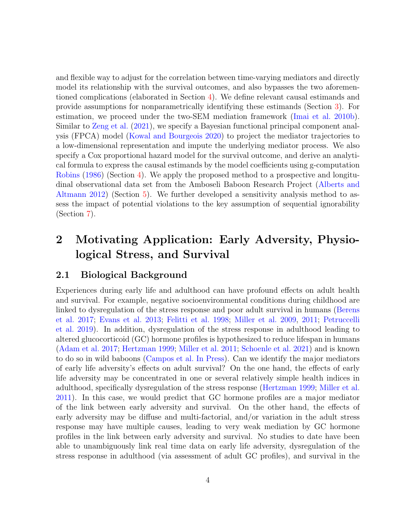and flexible way to adjust for the correlation between time-varying mediators and directly model its relationship with the survival outcomes, and also bypasses the two aforementioned complications (elaborated in Section [4\)](#page-11-0). We define relevant causal estimands and provide assumptions for nonparametrically identifying these estimands (Section [3\)](#page-6-0). For estimation, we proceed under the two-SEM mediation framework [\(Imai et al.](#page-22-0) [2010b\)](#page-22-0). Similar to [Zeng et al.](#page-26-3) [\(2021\)](#page-26-3), we specify a Bayesian functional principal component analysis (FPCA) model [\(Kowal and Bourgeois](#page-23-6) [2020\)](#page-23-6) to project the mediator trajectories to a low-dimensional representation and impute the underlying mediator process. We also specify a Cox proportional hazard model for the survival outcome, and derive an analytical formula to express the causal estimands by the model coefficients using g-computation [Robins](#page-24-6) [\(1986\)](#page-24-6) (Section [4\)](#page-11-0). We apply the proposed method to a prospective and longitudinal observational data set from the Amboseli Baboon Research Project [\(Alberts and](#page-20-0) [Altmann](#page-20-0) [2012\)](#page-20-0) (Section [5\)](#page-14-0). We further developed a sensitivity analysis method to assess the impact of potential violations to the key assumption of sequential ignorability (Section [7\)](#page-19-0).

## 2 Motivating Application: Early Adversity, Physiological Stress, and Survival

#### 2.1 Biological Background

Experiences during early life and adulthood can have profound effects on adult health and survival. For example, negative socioenvironmental conditions during childhood are linked to dysregulation of the stress response and poor adult survival in humans [\(Berens](#page-21-4) [et al.](#page-21-4) [2017;](#page-21-4) [Evans et al.](#page-21-5) [2013;](#page-21-5) [Felitti et al.](#page-21-6) [1998;](#page-21-6) [Miller et al.](#page-24-7) [2009,](#page-24-7) [2011;](#page-24-8) [Petruccelli](#page-24-9) [et al.](#page-24-9) [2019\)](#page-24-9). In addition, dysregulation of the stress response in adulthood leading to altered glucocorticoid (GC) hormone profiles is hypothesized to reduce lifespan in humans [\(Adam et al.](#page-20-1) [2017;](#page-20-1) [Hertzman](#page-22-6) [1999;](#page-22-6) [Miller et al.](#page-24-8) [2011;](#page-24-8) [Schoenle et al.](#page-25-10) [2021\)](#page-25-10) and is known to do so in wild baboons [\(Campos et al.](#page-21-7) [In Press\)](#page-21-7). Can we identify the major mediators of early life adversity's effects on adult survival? On the one hand, the effects of early life adversity may be concentrated in one or several relatively simple health indices in adulthood, specifically dysregulation of the stress response [\(Hertzman](#page-22-6) [1999;](#page-22-6) [Miller et al.](#page-24-8) [2011\)](#page-24-8). In this case, we would predict that GC hormone profiles are a major mediator of the link between early adversity and survival. On the other hand, the effects of early adversity may be diffuse and multi-factorial, and/or variation in the adult stress response may have multiple causes, leading to very weak mediation by GC hormone profiles in the link between early adversity and survival. No studies to date have been able to unambiguously link real time data on early life adversity, dysregulation of the stress response in adulthood (via assessment of adult GC profiles), and survival in the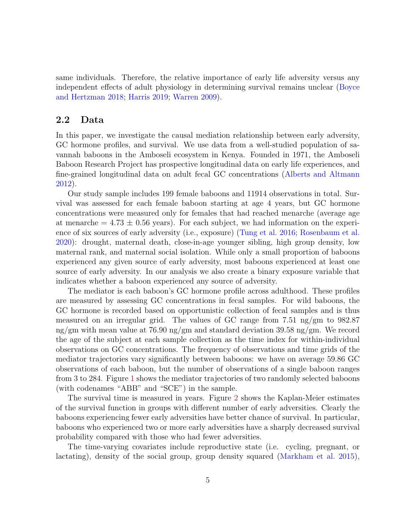same individuals. Therefore, the relative importance of early life adversity versus any independent effects of adult physiology in determining survival remains unclear [\(Boyce](#page-21-8) [and Hertzman](#page-21-8) [2018;](#page-21-8) [Harris](#page-22-7) [2019;](#page-22-7) [Warren](#page-26-6) [2009\)](#page-26-6).

#### <span id="page-4-0"></span>2.2 Data

In this paper, we investigate the causal mediation relationship between early adversity, GC hormone profiles, and survival. We use data from a well-studied population of savannah baboons in the Amboseli ecosystem in Kenya. Founded in 1971, the Amboseli Baboon Research Project has prospective longitudinal data on early life experiences, and fine-grained longitudinal data on adult fecal GC concentrations [\(Alberts and Altmann](#page-20-0) [2012\)](#page-20-0).

Our study sample includes 199 female baboons and 11914 observations in total. Survival was assessed for each female baboon starting at age 4 years, but GC hormone concentrations were measured only for females that had reached menarche (average age at menarche  $= 4.73 \pm 0.56$  years). For each subject, we had information on the experience of six sources of early adversity (i.e., exposure) [\(Tung et al.](#page-25-11) [2016;](#page-25-11) [Rosenbaum et al.](#page-25-12) [2020\)](#page-25-12): drought, maternal death, close-in-age younger sibling, high group density, low maternal rank, and maternal social isolation. While only a small proportion of baboons experienced any given source of early adversity, most baboons experienced at least one source of early adversity. In our analysis we also create a binary exposure variable that indicates whether a baboon experienced any source of adversity.

The mediator is each baboon's GC hormone profile across adulthood. These profiles are measured by assessing GC concentrations in fecal samples. For wild baboons, the GC hormone is recorded based on opportunistic collection of fecal samples and is thus measured on an irregular grid. The values of GC range from  $7.51 \text{ ng/cm}$  to  $982.87$ ng/gm with mean value at 76.90 ng/gm and standard deviation 39.58 ng/gm. We record the age of the subject at each sample collection as the time index for within-individual observations on GC concentrations. The frequency of observations and time grids of the mediator trajectories vary significantly between baboons: we have on average 59.86 GC observations of each baboon, but the number of observations of a single baboon ranges from 3 to 284. Figure [1](#page-5-0) shows the mediator trajectories of two randomly selected baboons (with codenames "ABB" and "SCE") in the sample.

The survival time is measured in years. Figure [2](#page-5-1) shows the Kaplan-Meier estimates of the survival function in groups with different number of early adversities. Clearly the baboons experiencing fewer early adversities have better chance of survival. In particular, baboons who experienced two or more early adversities have a sharply decreased survival probability compared with those who had fewer adversities.

The time-varying covariates include reproductive state (i.e. cycling, pregnant, or lactating), density of the social group, group density squared [\(Markham et al.](#page-24-10) [2015\)](#page-24-10),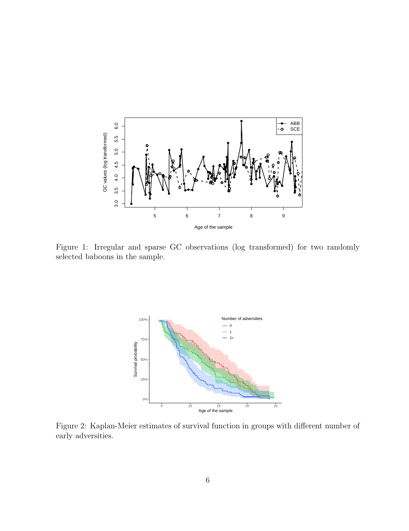<span id="page-5-0"></span>

<span id="page-5-1"></span>Figure 1: Irregular and sparse GC observations (log transformed) for two randomly selected baboons in the sample.



Figure 2: Kaplan-Meier estimates of survival function in groups with different number of early adversities.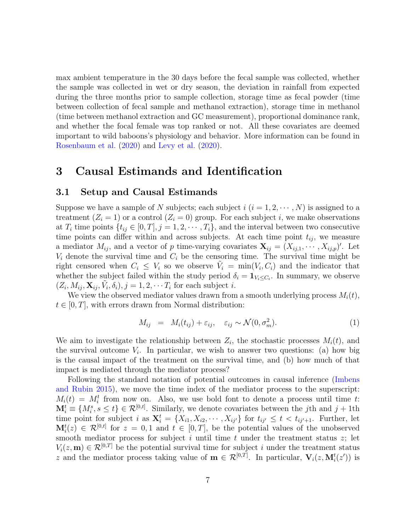max ambient temperature in the 30 days before the fecal sample was collected, whether the sample was collected in wet or dry season, the deviation in rainfall from expected during the three months prior to sample collection, storage time as fecal powder (time between collection of fecal sample and methanol extraction), storage time in methanol (time between methanol extraction and GC measurement), proportional dominance rank, and whether the focal female was top ranked or not. All these covariates are deemed important to wild baboons's physiology and behavior. More information can be found in [Rosenbaum et al.](#page-25-12) [\(2020\)](#page-25-12) and [Levy et al.](#page-23-9) [\(2020\)](#page-23-9).

### <span id="page-6-0"></span>3 Causal Estimands and Identification

#### 3.1 Setup and Causal Estimands

Suppose we have a sample of N subjects; each subject  $i$   $(i = 1, 2, \dots, N)$  is assigned to a treatment  $(Z_i = 1)$  or a control  $(Z_i = 0)$  group. For each subject i, we make observations at  $T_i$  time points  $\{t_{ij} \in [0, T], j = 1, 2, \cdots, T_i\}$ , and the interval between two consecutive time points can differ within and across subjects. At each time point  $t_{ij}$ , we measure a mediator  $M_{ij}$ , and a vector of p time-varying covariates  $\mathbf{X}_{ij} = (X_{ij,1}, \cdots, X_{ij,p})'$ . Let  $V_i$  denote the survival time and  $C_i$  be the censoring time. The survival time might be right censored when  $C_i \leq V_i$  so we observe  $\tilde{V}_i = \min(V_i, C_i)$  and the indicator that whether the subject failed within the study period  $\delta_i = \mathbf{1}_{V_i \leq C_i}$ . In summary, we observe  $(Z_i, M_{ij}, \mathbf{X}_{ij}, \tilde{V}_i, \delta_i), j = 1, 2, \cdots T_i$  for each subject i.

We view the observed mediator values drawn from a smooth underlying process  $M_i(t)$ ,  $t \in [0, T]$ , with errors drawn from Normal distribution:

$$
M_{ij} = M_i(t_{ij}) + \varepsilon_{ij}, \quad \varepsilon_{ij} \sim \mathcal{N}(0, \sigma_m^2). \tag{1}
$$

We aim to investigate the relationship between  $Z_i$ , the stochastic processes  $M_i(t)$ , and the survival outcome  $V_i$ . In particular, we wish to answer two questions: (a) how big is the causal impact of the treatment on the survival time, and (b) how much of that impact is mediated through the mediator process?

Following the standard notation of potential outcomes in causal inference [\(Imbens](#page-22-8) [and Rubin](#page-22-8) [2015\)](#page-22-8), we move the time index of the mediator process to the superscript:  $M_i(t) = M_i^t$  from now on. Also, we use bold font to denote a process until time t:  $\mathbf{M}_i^t \equiv \{M_i^s, s \leq t\} \in \mathcal{R}^{[0,t]}$ . Similarly, we denote covariates between the j<sup>th</sup> and j + 1<sup>th</sup> time point for subject i as  $\mathbf{X}_i^t = \{X_{i1}, X_{i2}, \cdots, X_{ij'}\}$  for  $t_{ij'} \leq t < t_{ij'+1}$ . Further, let  $\mathbf{M}_i^t(z) \in \mathcal{R}^{[0,t]}$  for  $z = 0,1$  and  $t \in [0,T]$ , be the potential values of the unobserved smooth mediator process for subject  $i$  until time  $t$  under the treatment status  $z$ ; let  $V_i(z, \mathbf{m}) \in \mathcal{R}^{[0,T]}$  be the potential survival time for subject i under the treatment status z and the mediator process taking value of  $\mathbf{m} \in \mathcal{R}^{[0,T]}$ . In particular,  $\mathbf{V}_i(z, \mathbf{M}_i^t(z'))$  is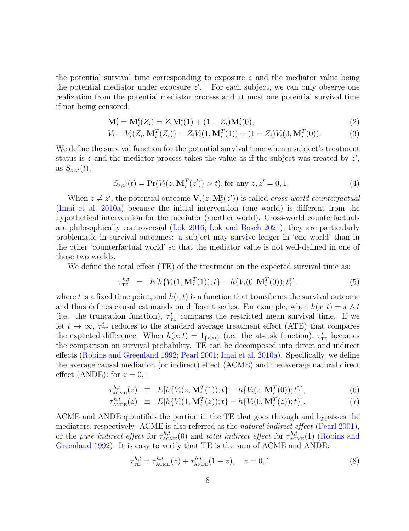the potential survival time corresponding to exposure  $z$  and the mediator value being the potential mediator under exposure  $z'$ . For each subject, we can only observe one realization from the potential mediator process and at most one potential survival time if not being censored:

$$
\mathbf{M}_i^t = \mathbf{M}_i^t(Z_i) = Z_i \mathbf{M}_i^t(1) + (1 - Z_i) \mathbf{M}_i^t(0),
$$
\n(2)

$$
V_i = V_i(Z_i, \mathbf{M}_i^T(Z_i)) = Z_i V_i(1, \mathbf{M}_i^T(1)) + (1 - Z_i) V_i(0, \mathbf{M}_i^T(0)).
$$
\n(3)

We define the survival function for the potential survival time when a subject's treatment status is z and the mediator process takes the value as if the subject was treated by  $z'$ , as  $S_{z,z'}(t)$ ,

$$
S_{z,z'}(t) = \Pr(V_i(z, \mathbf{M}_i^T(z')) > t), \text{for any } z, z' = 0, 1.
$$
 (4)

When  $z \neq z'$ , the potential outcome  $\mathbf{V}_i(z, \mathbf{M}_i^t(z'))$  is called *cross-world counterfactual* [\(Imai et al.](#page-22-9) [2010a\)](#page-22-9) because the initial intervention (one world) is different from the hypothetical intervention for the mediator (another world). Cross-world counterfactuals are philosophically controversial [\(Lok](#page-23-10) [2016;](#page-23-10) [Lok and Bosch](#page-23-11) [2021\)](#page-23-11); they are particularly problematic in survival outcomes: a subject may survive longer in 'one world' than in the other 'counterfactual world' so that the mediator value is not well-defined in one of those two worlds.

We define the total effect (TE) of the treatment on the expected survival time as:

$$
\tau_{\text{TE}}^{h,t} = E[h\{V_i(1,\mathbf{M}_i^T(1));t\} - h\{V_i(0,\mathbf{M}_i^T(0));t\}].
$$
\n(5)

where t is a fixed time point, and  $h(\cdot;t)$  is a function that transforms the survival outcome and thus defines causal estimands on different scales. For example, when  $h(x; t) = x \wedge t$ (i.e. the truncation function),  $\tau_{\text{TE}}^t$  compares the restricted mean survival time. If we let  $t \to \infty$ ,  $\tau_{\text{TE}}^t$  reduces to the standard average treatment effect (ATE) that compares the expected difference. When  $h(x;t) = 1_{\{x>t\}}$  (i.e. the at-risk function),  $\tau_{\text{TE}}^t$  becomes the comparison on survival probability. TE can be decomposed into direct and indirect effects [\(Robins and Greenland](#page-24-1) [1992;](#page-24-1) [Pearl](#page-24-2) [2001;](#page-24-2) [Imai et al.](#page-22-9) [2010a\)](#page-22-9). Specifically, we define the average causal mediation (or indirect) effect (ACME) and the average natural direct effect (ANDE): for  $z = 0, 1$ 

$$
\tau_{\text{ACME}}^{h,t}(z) \equiv E[h\{V_i(z, \mathbf{M}_i^T(1)); t\} - h\{V_i(z, \mathbf{M}_i^T(0)); t\}], \tag{6}
$$

$$
\tau_{\text{ANDE}}^{h,t}(z) \equiv E[h\{V_i(1, \mathbf{M}_i^T(z)); t\} - h\{V_i(0, \mathbf{M}_i^T(z)); t\}]. \tag{7}
$$

ACME and ANDE quantifies the portion in the TE that goes through and bypasses the mediators, respectively. ACME is also referred as the natural indirect effect [\(Pearl](#page-24-2) [2001\)](#page-24-2), or the *pure indirect effect* for  $\tau_{\text{ACME}}^{h,t}(0)$  and *total indirect effect* for  $\tau_{\text{ACME}}^{h,t}(1)$  [\(Robins and](#page-24-1) [Greenland](#page-24-1) [1992\)](#page-24-1). It is easy to verify that TE is the sum of ACME and ANDE:

$$
\tau_{\rm TE}^{h,t} = \tau_{\rm ACME}^{h,t}(z) + \tau_{\rm ANDE}^{h,t}(1-z), \quad z = 0, 1.
$$
 (8)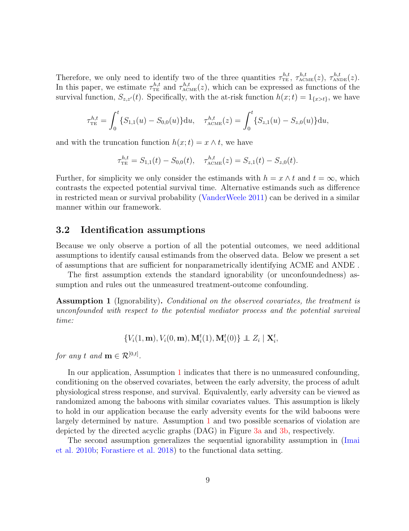Therefore, we only need to identify two of the three quantities  $\tau_{\text{TE}}^{h,t}$ ,  $\tau_{\text{ACME}}^{h,t}(z)$ ,  $\tau_{\text{ANDE}}^{h,t}(z)$ . In this paper, we estimate  $\tau_{TE}^{h,t}$  and  $\tau_{ACME}^{h,t}(z)$ , which can be expressed as functions of the survival function,  $S_{z,z'}(t)$ . Specifically, with the at-risk function  $h(x;t) = 1_{\{x>t\}}$ , we have

$$
\tau_{\rm TE}^{h,t} = \int_0^t \{S_{1,1}(u) - S_{0,0}(u)\} \mathrm{d}u, \quad \tau_{\rm ACME}^{h,t}(z) = \int_0^t \{S_{z,1}(u) - S_{z,0}(u)\} \mathrm{d}u,
$$

and with the truncation function  $h(x;t) = x \wedge t$ , we have

$$
\tau_{\rm TE}^{h,t} = S_{1,1}(t) - S_{0,0}(t), \quad \tau_{\rm ACME}^{h,t}(z) = S_{z,1}(t) - S_{z,0}(t).
$$

Further, for simplicity we only consider the estimands with  $h = x \wedge t$  and  $t = \infty$ , which contrasts the expected potential survival time. Alternative estimands such as difference in restricted mean or survival probability [\(VanderWeele](#page-25-9) [2011\)](#page-25-9) can be derived in a similar manner within our framework.

#### 3.2 Identification assumptions

Because we only observe a portion of all the potential outcomes, we need additional assumptions to identify causal estimands from the observed data. Below we present a set of assumptions that are sufficient for nonparametrically identifying ACME and ANDE .

The first assumption extends the standard ignorability (or unconfoundedness) assumption and rules out the unmeasured treatment-outcome confounding.

<span id="page-8-0"></span>Assumption 1 (Ignorability). Conditional on the observed covariates, the treatment is unconfounded with respect to the potential mediator process and the potential survival time:

$$
\{V_i(1,\mathbf{m}), V_i(0,\mathbf{m}), \mathbf{M}_i^t(1), \mathbf{M}_i^t(0)\} \perp Z_i \mid \mathbf{X}_i^t,
$$

for any t and  $\mathbf{m} \in \mathcal{R}^{[0,t]}$ .

In our application, Assumption [1](#page-8-0) indicates that there is no unmeasured confounding, conditioning on the observed covariates, between the early adversity, the process of adult physiological stress response, and survival. Equivalently, early adversity can be viewed as randomized among the baboons with similar covariates values. This assumption is likely to hold in our application because the early adversity events for the wild baboons were largely determined by nature. Assumption [1](#page-8-0) and two possible scenarios of violation are depicted by the directed acyclic graphs (DAG) in Figure [3a](#page-10-0) and [3b,](#page-10-0) respectively.

The second assumption generalizes the sequential ignorability assumption in [\(Imai](#page-22-0) [et al.](#page-22-0) [2010b;](#page-22-0) [Forastiere et al.](#page-21-9) [2018\)](#page-21-9) to the functional data setting.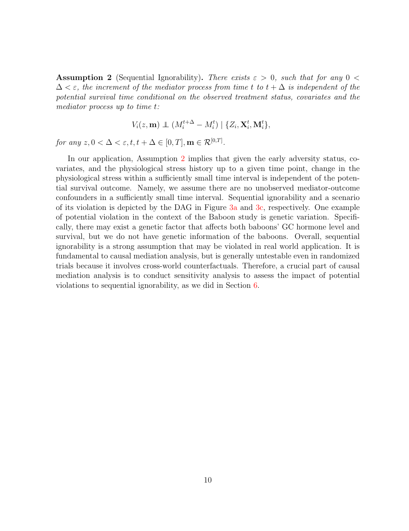<span id="page-9-0"></span>**Assumption 2** (Sequential Ignorability). There exists  $\varepsilon > 0$ , such that for any  $0 <$  $\Delta < \varepsilon$ , the increment of the mediator process from time t to  $t + \Delta$  is independent of the potential survival time conditional on the observed treatment status, covariates and the mediator process up to time t:

$$
V_i(z, \mathbf{m}) \perp \left( M_i^{t+\Delta} - M_i^t \right) \mid \{ Z_i, \mathbf{X}_i^t, \mathbf{M}_i^t \},
$$

for any  $z, 0 < \Delta < \varepsilon, t, t + \Delta \in [0, T], \mathbf{m} \in \mathcal{R}^{[0, T]}$ .

In our application, Assumption [2](#page-9-0) implies that given the early adversity status, covariates, and the physiological stress history up to a given time point, change in the physiological stress within a sufficiently small time interval is independent of the potential survival outcome. Namely, we assume there are no unobserved mediator-outcome confounders in a sufficiently small time interval. Sequential ignorability and a scenario of its violation is depicted by the DAG in Figure [3a](#page-10-0) and [3c,](#page-10-0) respectively. One example of potential violation in the context of the Baboon study is genetic variation. Specifically, there may exist a genetic factor that affects both baboons' GC hormone level and survival, but we do not have genetic information of the baboons. Overall, sequential ignorability is a strong assumption that may be violated in real world application. It is fundamental to causal mediation analysis, but is generally untestable even in randomized trials because it involves cross-world counterfactuals. Therefore, a crucial part of causal mediation analysis is to conduct sensitivity analysis to assess the impact of potential violations to sequential ignorability, as we did in Section [6.](#page-17-0)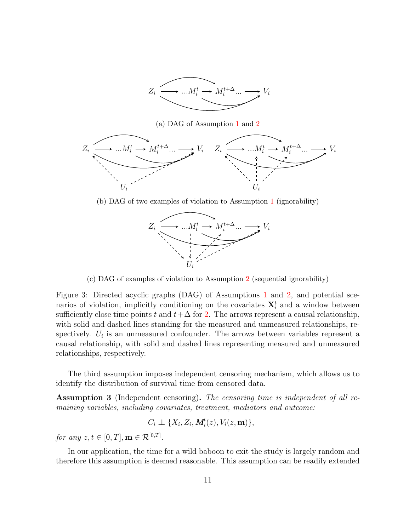

(a) DAG of Assumption [1](#page-8-0) and [2](#page-9-0)

<span id="page-10-0"></span>

(b) DAG of two examples of violation to Assumption [1](#page-8-0) (ignorability)



(c) DAG of examples of violation to Assumption [2](#page-9-0) (sequential ignorability)

Figure 3: Directed acyclic graphs (DAG) of Assumptions [1](#page-8-0) and [2,](#page-9-0) and potential scenarios of violation, implicitly conditioning on the covariates  $\mathbf{X}_i^t$  and a window between sufficiently close time points t and  $t + \Delta$  for [2.](#page-9-0) The arrows represent a causal relationship, with solid and dashed lines standing for the measured and unmeasured relationships, respectively.  $U_i$  is an unmeasured confounder. The arrows between variables represent a causal relationship, with solid and dashed lines representing measured and unmeasured relationships, respectively.

The third assumption imposes independent censoring mechanism, which allows us to identify the distribution of survival time from censored data.

<span id="page-10-1"></span>Assumption 3 (Independent censoring). The censoring time is independent of all remaining variables, including covariates, treatment, mediators and outcome:

$$
C_i \perp \!\!\!\! \perp \{X_i, Z_i, \mathbf{M}_i^t(z), V_i(z, \mathbf{m})\},
$$

for any  $z, t \in [0, T], \mathbf{m} \in \mathcal{R}^{[0, T]}$ .

In our application, the time for a wild baboon to exit the study is largely random and therefore this assumption is deemed reasonable. This assumption can be readily extended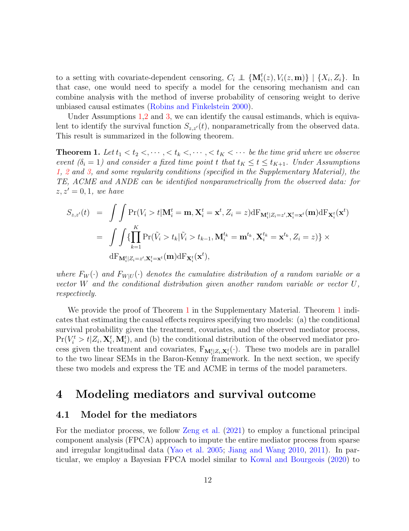to a setting with covariate-dependent censoring,  $C_i \perp \!\!\!\perp \{M_i^t(z), V_i(z, m)\}\mid \{X_i, Z_i\}$ . In that case, one would need to specify a model for the censoring mechanism and can combine analysis with the method of inverse probability of censoring weight to derive unbiased causal estimates [\(Robins and Finkelstein](#page-24-11) [2000\)](#page-24-11).

Under Assumptions [1,](#page-8-0)[2](#page-9-0) and [3,](#page-10-1) we can identify the causal estimands, which is equivalent to identify the survival function  $S_{z,z'}(t)$ , nonparametrically from the observed data. This result is summarized in the following theorem.

<span id="page-11-1"></span>**Theorem 1.** Let  $t_1 < t_2 < \cdots < t_k < \cdots < t_K < \cdots$  be the time grid where we observe event  $(\delta_i = 1)$  and consider a fixed time point t that  $t_K \le t \le t_{K+1}$ . Under Assumptions [1,](#page-8-0) [2](#page-9-0) and [3,](#page-10-1) and some regularity conditions (specified in the Supplementary Material), the TE, ACME and ANDE can be identified nonparametrically from the observed data: for  $z, z' = 0, 1$ , we have

$$
S_{z,z'}(t) = \int \int \Pr(V_i > t | \mathbf{M}_i^t = \mathbf{m}, \mathbf{X}_i^t = \mathbf{x}^t, Z_i = z) \, \mathrm{d}F_{\mathbf{M}_i^t | Z_i = z', \mathbf{X}_i^t = \mathbf{x}^t}(\mathbf{m}) \, \mathrm{d}F_{\mathbf{X}_i^t}(\mathbf{x}^t)
$$
\n
$$
= \int \int \{ \prod_{k=1}^K \Pr(\tilde{V}_i > t_k | \tilde{V}_i > t_{k-1}, \mathbf{M}_i^{t_k} = \mathbf{m}^{t_k}, \mathbf{X}_i^{t_k} = \mathbf{x}^{t_k}, Z_i = z) \} \times \, \mathrm{d}F_{\mathbf{M}_i^t | Z_i = z', \mathbf{X}_i^t = \mathbf{x}^t}(\mathbf{m}) \, \mathrm{d}F_{\mathbf{X}_i^t}(\mathbf{x}^t),
$$

where  $F_W(\cdot)$  and  $F_{W|U}(\cdot)$  denotes the cumulative distribution of a random variable or a vector W and the conditional distribution given another random variable or vector U, respectively.

We provide the proof of Theorem [1](#page-11-1) in the Supplementary Material. Theorem 1 indicates that estimating the causal effects requires specifying two models: (a) the conditional survival probability given the treatment, covariates, and the observed mediator process,  $Pr(V_i^t > t | Z_i, \mathbf{X}_i^t, \mathbf{M}_i^t)$ , and (b) the conditional distribution of the observed mediator process given the treatment and covariates,  $F_{\mathbf{M}_{i}^{t}}[z_{i}, \mathbf{x}_{i}^{t}(\cdot)$ . These two models are in parallel to the two linear SEMs in the Baron-Kenny framework. In the next section, we specify these two models and express the TE and ACME in terms of the model parameters.

### <span id="page-11-0"></span>4 Modeling mediators and survival outcome

#### 4.1 Model for the mediators

For the mediator process, we follow [Zeng et al.](#page-26-3) [\(2021\)](#page-26-3) to employ a functional principal component analysis (FPCA) approach to impute the entire mediator process from sparse and irregular longitudinal data [\(Yao et al.](#page-26-2) [2005;](#page-26-2) [Jiang and Wang](#page-22-3) [2010,](#page-22-3) [2011\)](#page-22-4). In particular, we employ a Bayesian FPCA model similar to [Kowal and Bourgeois](#page-23-6) [\(2020\)](#page-23-6) to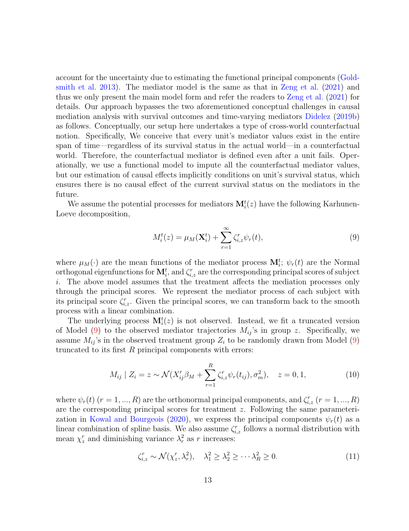account for the uncertainty due to estimating the functional principal components [\(Gold](#page-21-10)[smith et al.](#page-21-10) [2013\)](#page-21-10). The mediator model is the same as that in [Zeng et al.](#page-26-3) [\(2021\)](#page-26-3) and thus we only present the main model form and refer the readers to [Zeng et al.](#page-26-3) [\(2021\)](#page-26-3) for details. Our approach bypasses the two aforementioned conceptual challenges in causal mediation analysis with survival outcomes and time-varying mediators [Didelez](#page-21-3) [\(2019b\)](#page-21-3) as follows. Conceptually, our setup here undertakes a type of cross-world counterfactual notion. Specifically, We conceive that every unit's mediator values exist in the entire span of time—regardless of its survival status in the actual world—in a counterfactual world. Therefore, the counterfactual mediator is defined even after a unit fails. Operationally, we use a functional model to impute all the counterfactual mediator values, but our estimation of causal effects implicitly conditions on unit's survival status, which ensures there is no causal effect of the current survival status on the mediators in the future.

We assume the potential processes for mediators  $M_i^t(z)$  have the following Karhunen-Loeve decomposition,

<span id="page-12-0"></span>
$$
M_i^t(z) = \mu_M(\mathbf{X}_i^t) + \sum_{r=1}^{\infty} \zeta_{i,z}^r \psi_r(t), \qquad (9)
$$

where  $\mu_M(\cdot)$  are the mean functions of the mediator process  $\mathbf{M}_i^t$ ;  $\psi_r(t)$  are the Normal orthogonal eigenfunctions for  $\mathbf{M}_i^t$ , and  $\zeta_{i,z}^r$  are the corresponding principal scores of subject i. The above model assumes that the treatment affects the mediation processes only through the principal scores. We represent the mediator process of each subject with its principal score  $\zeta_{i,z}^r$ . Given the principal scores, we can transform back to the smooth process with a linear combination.

The underlying process  $\mathbf{M}_{i}^{t}(z)$  is not observed. Instead, we fit a truncated version of Model [\(9\)](#page-12-0) to the observed mediator trajectories  $M_{ij}$ 's in group z. Specifically, we assume  $M_{ij}$ 's in the observed treatment group  $Z_i$  to be randomly drawn from Model [\(9\)](#page-12-0) truncated to its first  $R$  principal components with errors:

$$
M_{ij} | Z_i = z \sim \mathcal{N}(X'_{ij}\beta_M + \sum_{r=1}^R \zeta_{i,z}^r \psi_r(t_{ij}), \sigma_m^2), \quad z = 0, 1,
$$
 (10)

where  $\psi_r(t)$   $(r = 1, ..., R)$  are the orthonormal principal components, and  $\zeta_{i,z}^r$   $(r = 1, ..., R)$ are the corresponding principal scores for treatment z. Following the same parameteri-zation in [Kowal and Bourgeois](#page-23-6) [\(2020\)](#page-23-6), we express the principal components  $\psi_r(t)$  as a linear combination of spline basis. We also assume  $\zeta_{i,z}^r$  follows a normal distribution with mean  $\chi_z^r$  and diminishing variance  $\lambda_r^2$  as r increases:

<span id="page-12-1"></span>
$$
\zeta_{i,z}^r \sim \mathcal{N}(\chi_z^r, \lambda_r^2), \quad \lambda_1^2 \ge \lambda_2^2 \ge \cdots \lambda_R^2 \ge 0. \tag{11}
$$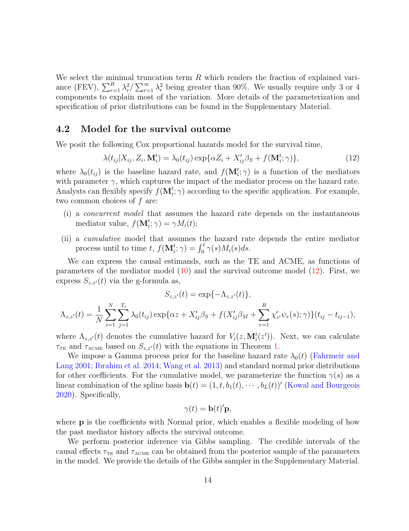We select the minimal truncation term  $R$  which renders the fraction of explained variance (FEV),  $\sum_{r=1}^{R} \lambda_r^2 / \sum_{r=1}^{\infty} \lambda_r^2$  being greater than 90%. We usually require only 3 or 4 components to explain most of the variation. More details of the parameterization and specification of prior distributions can be found in the Supplementary Material.

#### 4.2 Model for the survival outcome

We posit the following Cox proportional hazards model for the survival time,

<span id="page-13-0"></span>
$$
\lambda(t_{ij}|X_{ij}, Z_i, \mathbf{M}_i^t) = \lambda_0(t_{ij}) \exp{\{\alpha Z_i + X'_{ij}\beta_S + f(\mathbf{M}_i^t; \gamma)\}},\tag{12}
$$

where  $\lambda_0(t_{ij})$  is the baseline hazard rate, and  $f(\mathbf{M}_i^t; \gamma)$  is a function of the mediators with parameter  $\gamma$ , which captures the impact of the mediator process on the hazard rate. Analysts can flexibly specify  $f(\mathbf{M}_i^t; \gamma)$  according to the specific application. For example, two common choices of  $f$  are:

- (i) a concurrent model that assumes the hazard rate depends on the instantaneous mediator value,  $f(\mathbf{M}_i^t; \gamma) = \gamma M_i(t);$
- (ii) a cumulative model that assumes the hazard rate depends the entire mediator process until to time t,  $f(\mathbf{M}_i^t; \gamma) = \int_0^t \gamma(s) M_i(s) ds$ .

We can express the causal estimands, such as the TE and ACME, as functions of parameters of the mediator model [\(10\)](#page-12-1) and the survival outcome model [\(12\)](#page-13-0). First, we express  $S_{z,z'}(t)$  via the g-formula as,

$$
S_{z,z'}(t) = \exp\{-\Lambda_{z,z'}(t)\},
$$
  

$$
\Lambda_{z,z'}(t) = \frac{1}{N} \sum_{i=1}^{N} \sum_{j=1}^{T_i} \lambda_0(t_{ij}) \exp\{\alpha z + X'_{ij}\beta_S + f(X'_{ij}\beta_M + \sum_{r=1}^{R} \chi^r_{z'}\psi_r(s); \gamma)\}(t_{ij} - t_{ij-1}),
$$

where  $\Lambda_{z,z'}(t)$  denotes the cumulative hazard for  $V_i(z, \mathbf{M}_i^t(z'))$ . Next, we can calculate  $\tau_{\text{TE}}$  and  $\tau_{\text{ACME}}$  based on  $S_{z,z'}(t)$  with the equations in Theorem [1.](#page-11-1)

We impose a Gamma process prior for the baseline hazard rate  $\lambda_0(t)$  [\(Fahrmeir and](#page-21-11) [Lang](#page-21-11) [2001;](#page-21-11) [Ibrahim et al.](#page-22-10) [2014;](#page-22-10) [Wang et al.](#page-26-7) [2013\)](#page-26-7) and standard normal prior distributions for other coefficients. For the cumulative model, we parameterize the function  $\gamma(s)$  as a linear combination of the spline basis  $\mathbf{b}(t) = (1, t, b_1(t), \cdots, b_L(t))'$  [\(Kowal and Bourgeois](#page-23-6) [2020\)](#page-23-6). Specifically,

$$
\gamma(t) = \mathbf{b}(t)'\mathbf{p},
$$

where **p** is the coefficients with Normal prior, which enables a flexible modeling of how the past mediator history affects the survival outcome.

We perform posterior inference via Gibbs sampling. The credible intervals of the causal effects  $\tau_{TE}$  and  $\tau_{ACME}$  can be obtained from the posterior sample of the parameters in the model. We provide the details of the Gibbs sampler in the Supplementary Material.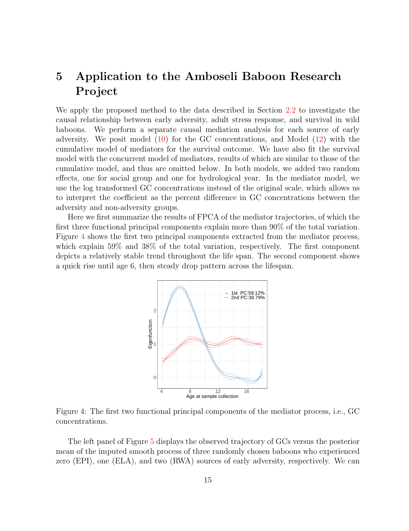# <span id="page-14-0"></span>5 Application to the Amboseli Baboon Research Project

We apply the proposed method to the data described in Section [2.2](#page-4-0) to investigate the causal relationship between early adversity, adult stress response, and survival in wild baboons. We perform a separate causal mediation analysis for each source of early adversity. We posit model [\(10\)](#page-12-1) for the GC concentrations, and Model [\(12\)](#page-13-0) with the cumulative model of mediators for the survival outcome. We have also fit the survival model with the concurrent model of mediators, results of which are similar to those of the cumulative model, and thus are omitted below. In both models, we added two random effects, one for social group and one for hydrological year. In the mediator model, we use the log transformed GC concentrations instead of the original scale, which allows us to interpret the coefficient as the percent difference in GC concentrations between the adversity and non-adversity groups.

<span id="page-14-1"></span>Here we first summarize the results of FPCA of the mediator trajectories, of which the first three functional principal components explain more than 90% of the total variation. Figure [4](#page-14-1) shows the first two principal components extracted from the mediator process, which explain 59% and 38% of the total variation, respectively. The first component depicts a relatively stable trend throughout the life span. The second component shows a quick rise until age 6, then steady drop pattern across the lifespan.



Figure 4: The first two functional principal components of the mediator process, i.e., GC concentrations.

The left panel of Figure [5](#page-15-0) displays the observed trajectory of GCs versus the posterior mean of the imputed smooth process of three randomly chosen baboons who experienced zero (EPI), one (ELA), and two (RWA) sources of early adversity, respectively. We can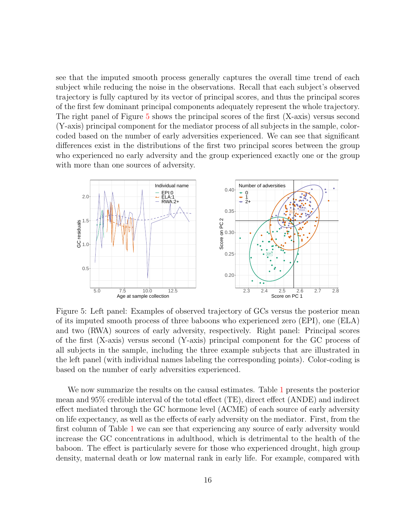see that the imputed smooth process generally captures the overall time trend of each subject while reducing the noise in the observations. Recall that each subject's observed trajectory is fully captured by its vector of principal scores, and thus the principal scores of the first few dominant principal components adequately represent the whole trajectory. The right panel of Figure [5](#page-15-0) shows the principal scores of the first (X-axis) versus second (Y-axis) principal component for the mediator process of all subjects in the sample, colorcoded based on the number of early adversities experienced. We can see that significant differences exist in the distributions of the first two principal scores between the group who experienced no early adversity and the group experienced exactly one or the group with more than one sources of adversity.

<span id="page-15-0"></span>

Figure 5: Left panel: Examples of observed trajectory of GCs versus the posterior mean of its imputed smooth process of three baboons who experienced zero (EPI), one (ELA) and two (RWA) sources of early adversity, respectively. Right panel: Principal scores of the first (X-axis) versus second (Y-axis) principal component for the GC process of all subjects in the sample, including the three example subjects that are illustrated in the left panel (with individual names labeling the corresponding points). Color-coding is based on the number of early adversities experienced.

We now summarize the results on the causal estimates. Table [1](#page-16-0) presents the posterior mean and 95% credible interval of the total effect (TE), direct effect (ANDE) and indirect effect mediated through the GC hormone level (ACME) of each source of early adversity on life expectancy, as well as the effects of early adversity on the mediator. First, from the first column of Table [1](#page-16-0) we can see that experiencing any source of early adversity would increase the GC concentrations in adulthood, which is detrimental to the health of the baboon. The effect is particularly severe for those who experienced drought, high group density, maternal death or low maternal rank in early life. For example, compared with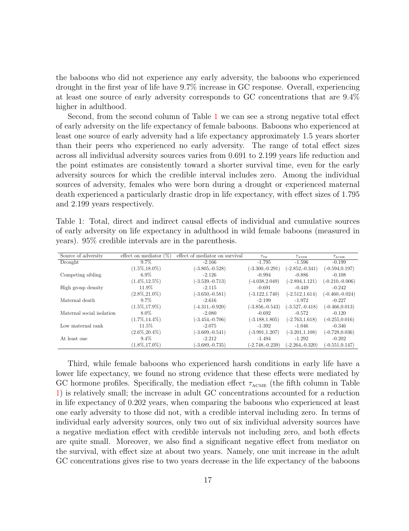the baboons who did not experience any early adversity, the baboons who experienced drought in the first year of life have 9.7% increase in GC response. Overall, experiencing at least one source of early adversity corresponds to GC concentrations that are 9.4% higher in adulthood.

Second, from the second column of Table [1](#page-16-0) we can see a strong negative total effect of early adversity on the life expectancy of female baboons. Baboons who experienced at least one source of early adversity had a life expectancy approximately 1.5 years shorter than their peers who experienced no early adversity. The range of total effect sizes across all individual adversity sources varies from 0.691 to 2.199 years life reduction and the point estimates are consistently toward a shorter survival time, even for the early adversity sources for which the credible interval includes zero. Among the individual sources of adversity, females who were born during a drought or experienced maternal death experienced a particularly drastic drop in life expectancy, with effect sizes of 1.795 and 2.199 years respectively.

<span id="page-16-0"></span>Table 1: Total, direct and indirect causal effects of individual and cumulative sources of early adversity on life expectancy in adulthood in wild female baboons (measured in years). 95% credible intervals are in the parenthesis.

| Source of adversity       | effect on mediator $(\%)$ | effect of mediator on survival | $\tau_{\textrm{\tiny TE}}$ | $\tau_{\scriptscriptstyle \rm ANDE}$ | $\tau_\text{ACME}$ |
|---------------------------|---------------------------|--------------------------------|----------------------------|--------------------------------------|--------------------|
| Drought                   | $9.7\%$                   | $-2.166$                       | $-1.795$                   | -1.596                               | $-0.199$           |
|                           | $(1.5\%, 18.0\%)$         | $(-3.805,-0.528)$              | $(-3.300,-0.291)$          | $(-2.852,-0.341)$                    | $(-0.594, 0.197)$  |
| Competing sibling         | $6.9\%$                   | $-2.126$                       | $-0.994$                   | $-0.886$                             | $-0.108$           |
|                           | $(1.4\%, 12.5\%)$         | $(-3.539,-0.713)$              | $(-4.038, 2.049)$          | $(-2.894, 1.121)$                    | $(-0.210,-0.006)$  |
| High group density        | 11.9%                     | $-2.115$                       | $-0.691$                   | $-0.449$                             | $-0.242$           |
|                           | $(2.8\%, 21.0\%)$         | $(-3.650,-0.581)$              | $(-3.122, 1.740)$          | $(-2.512, 1.614)$                    | $(-0.460,-0.024)$  |
| Maternal death            | $9.7\%$                   | $-2.616$                       | $-2.199$                   | $-1.972$                             | $-0.227$           |
|                           | $(1.5\%, 17.9\%)$         | $(-4.311,-0.920)$              | $(-3.856,-0.543)$          | $(-3.527,-0.418)$                    | $(-0.466, 0.013)$  |
| Maternal social isolation | 8.0%                      | $-2.080$                       | $-0.692$                   | $-0.572$                             | $-0.120$           |
|                           | $(1.7\%, 14.4\%)$         | $(-3.454,-0.706)$              | $(-3.188, 1.805)$          | $(-2.763, 1.618)$                    | $(-0.255, 0.016)$  |
| Low maternal rank         | 11.5%                     | $-2.075$                       | $-1.392$                   | $-1.046$                             | $-0.346$           |
|                           | $(2.6\%, 20.4\%)$         | $(-3.609,-0.541)$              | $(-3.991, 1.207)$          | $(-3.201, 1.108)$                    | $(-0.728, 0.036)$  |
| At least one              | $9.4\%$                   | $-2.212$                       | $-1.494$                   | $-1.292$                             | $-0.202$           |
|                           | $(1.8\%, 17.0\%)$         | $(-3.689,-0.735)$              | $(-2.748,-0.239)$          | $(-2.264,-0.320)$                    | $(-0.551, 0.147)$  |

Third, while female baboons who experienced harsh conditions in early life have a lower life expectancy, we found no strong evidence that these effects were mediated by GC hormone profiles. Specifically, the mediation effect  $\tau_{\text{ACME}}$  (the fifth column in Table [1\)](#page-16-0) is relatively small; the increase in adult GC concentrations accounted for a reduction in life expectancy of 0.202 years, when comparing the baboons who experienced at least one early adversity to those did not, with a credible interval including zero. In terms of individual early adversity sources, only two out of six individual adversity sources have a negative mediation effect with credible intervals not including zero, and both effects are quite small. Moreover, we also find a significant negative effect from mediator on the survival, with effect size at about two years. Namely, one unit increase in the adult GC concentrations gives rise to two years decrease in the life expectancy of the baboons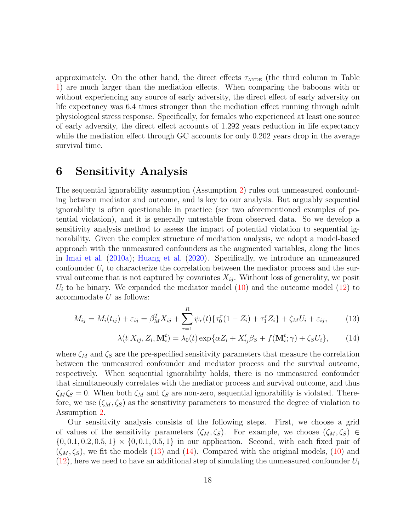approximately. On the other hand, the direct effects  $\tau_{\text{ANDE}}$  (the third column in Table [1\)](#page-16-0) are much larger than the mediation effects. When comparing the baboons with or without experiencing any source of early adversity, the direct effect of early adversity on life expectancy was 6.4 times stronger than the mediation effect running through adult physiological stress response. Specifically, for females who experienced at least one source of early adversity, the direct effect accounts of 1.292 years reduction in life expectancy while the mediation effect through GC accounts for only 0.202 years drop in the average survival time.

#### <span id="page-17-0"></span>6 Sensitivity Analysis

The sequential ignorability assumption (Assumption [2\)](#page-9-0) rules out unmeasured confounding between mediator and outcome, and is key to our analysis. But arguably sequential ignorability is often questionable in practice (see two aforementioned examples of potential violation), and it is generally untestable from observed data. So we develop a sensitivity analysis method to assess the impact of potential violation to sequential ignorability. Given the complex structure of mediation analysis, we adopt a model-based approach with the unmeasured confounders as the augmented variables, along the lines in [Imai et al.](#page-22-9) [\(2010a\)](#page-22-9); [Huang et al.](#page-22-11) [\(2020\)](#page-22-11). Specifically, we introduce an unmeasured confounder  $U_i$  to characterize the correlation between the mediator process and the survival outcome that is not captured by covariates  $X_{ij}$ . Without loss of generality, we posit  $U_i$  to be binary. We expanded the mediator model [\(10\)](#page-12-1) and the outcome model [\(12\)](#page-13-0) to  $a$ ccommodate  $U$  as follows:

<span id="page-17-1"></span>
$$
M_{ij} = M_i(t_{ij}) + \varepsilon_{ij} = \beta_M^T X_{ij} + \sum_{r=1}^R \psi_r(t) \{ \tau_0^r (1 - Z_i) + \tau_1^r Z_i \} + \zeta_M U_i + \varepsilon_{ij},
$$
(13)

$$
\lambda(t|X_{ij}, Z_i, \mathbf{M}_i^t) = \lambda_0(t) \exp\{\alpha Z_i + X_{ij}'\beta_S + f(\mathbf{M}_i^t; \gamma) + \zeta_S U_i\},\tag{14}
$$

where  $\zeta_M$  and  $\zeta_S$  are the pre-specified sensitivity parameters that measure the correlation between the unmeasured confounder and mediator process and the survival outcome, respectively. When sequential ignorability holds, there is no unmeasured confounder that simultaneously correlates with the mediator process and survival outcome, and thus  $\zeta_M \zeta_S = 0$ . When both  $\zeta_M$  and  $\zeta_S$  are non-zero, sequential ignorability is violated. Therefore, we use  $(\zeta_M, \zeta_S)$  as the sensitivity parameters to measured the degree of violation to Assumption [2.](#page-9-0)

Our sensitivity analysis consists of the following steps. First, we choose a grid of values of the sensitivity parameters  $(\zeta_M, \zeta_S)$ . For example, we choose  $(\zeta_M, \zeta_S) \in$  $\{0, 0.1, 0.2, 0.5, 1\} \times \{0, 0.1, 0.5, 1\}$  in our application. Second, with each fixed pair of  $(\zeta_M, \zeta_S)$ , we fit the models [\(13\)](#page-17-1) and [\(14\)](#page-17-1). Compared with the original models, [\(10\)](#page-12-1) and  $(12)$ , here we need to have an additional step of simulating the unmeasured confounder  $U_i$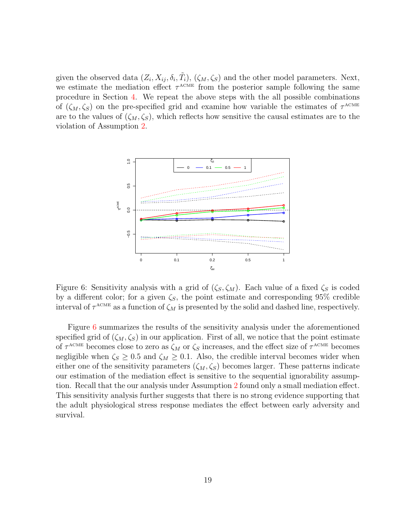given the observed data  $(Z_i, X_{ij}, \delta_i, \tilde{T}_i)$ ,  $(\zeta_M, \zeta_S)$  and the other model parameters. Next, we estimate the mediation effect  $\tau^{\text{ACME}}$  from the posterior sample following the same procedure in Section [4.](#page-11-0) We repeat the above steps with the all possible combinations of  $(\zeta_M, \zeta_S)$  on the pre-specified grid and examine how variable the estimates of  $\tau^{\text{ACME}}$ are to the values of  $(\zeta_M, \zeta_S)$ , which reflects how sensitive the causal estimates are to the violation of Assumption [2.](#page-9-0)

<span id="page-18-0"></span>

Figure 6: Sensitivity analysis with a grid of  $(\zeta_S, \zeta_M)$ . Each value of a fixed  $\zeta_S$  is coded by a different color; for a given  $\zeta_s$ , the point estimate and corresponding 95% credible interval of  $\tau^{\text{ACME}}$  as a function of  $\zeta_M$  is presented by the solid and dashed line, respectively.

Figure [6](#page-18-0) summarizes the results of the sensitivity analysis under the aforementioned specified grid of  $(\zeta_M, \zeta_S)$  in our application. First of all, we notice that the point estimate of  $\tau^{\text{ACME}}$  becomes close to zero as  $\zeta_M$  or  $\zeta_S$  increases, and the effect size of  $\tau^{\text{ACME}}$  becomes negligible when  $\zeta_s \geq 0.5$  and  $\zeta_M \geq 0.1$ . Also, the credible interval becomes wider when either one of the sensitivity parameters  $(\zeta_M, \zeta_S)$  becomes larger. These patterns indicate our estimation of the mediation effect is sensitive to the sequential ignorability assumption. Recall that the our analysis under Assumption [2](#page-9-0) found only a small mediation effect. This sensitivity analysis further suggests that there is no strong evidence supporting that the adult physiological stress response mediates the effect between early adversity and survival.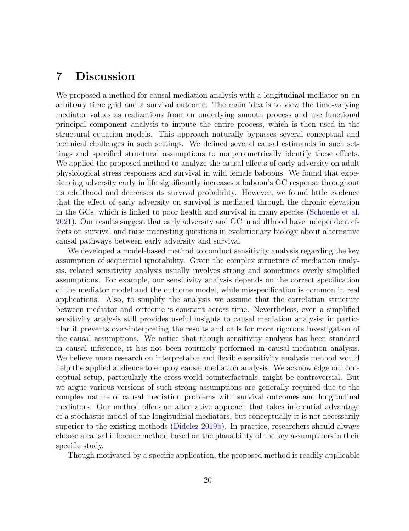### <span id="page-19-0"></span>7 Discussion

We proposed a method for causal mediation analysis with a longitudinal mediator on an arbitrary time grid and a survival outcome. The main idea is to view the time-varying mediator values as realizations from an underlying smooth process and use functional principal component analysis to impute the entire process, which is then used in the structural equation models. This approach naturally bypasses several conceptual and technical challenges in such settings. We defined several causal estimands in such settings and specified structural assumptions to nonparametrically identify these effects. We applied the proposed method to analyze the causal effects of early adversity on adult physiological stress responses and survival in wild female baboons. We found that experiencing adversity early in life significantly increases a baboon's GC response throughout its adulthood and decreases its survival probability. However, we found little evidence that the effect of early adversity on survival is mediated through the chronic elevation in the GCs, which is linked to poor health and survival in many species [\(Schoenle et al.](#page-25-10) [2021\)](#page-25-10). Our results suggest that early adversity and GC in adulthood have independent effects on survival and raise interesting questions in evolutionary biology about alternative causal pathways between early adversity and survival

We developed a model-based method to conduct sensitivity analysis regarding the key assumption of sequential ignorability. Given the complex structure of mediation analysis, related sensitivity analysis usually involves strong and sometimes overly simplified assumptions. For example, our sensitivity analysis depends on the correct specification of the mediator model and the outcome model, while misspecification is common in real applications. Also, to simplify the analysis we assume that the correlation structure between mediator and outcome is constant across time. Nevertheless, even a simplified sensitivity analysis still provides useful insights to causal mediation analysis; in particular it prevents over-interpreting the results and calls for more rigorous investigation of the causal assumptions. We notice that though sensitivity analysis has been standard in causal inference, it has not been routinely performed in causal mediation analysis. We believe more research on interpretable and flexible sensitivity analysis method would help the applied audience to employ causal mediation analysis. We acknowledge our conceptual setup, particularly the cross-world counterfactuals, might be controversial. But we argue various versions of such strong assumptions are generally required due to the complex nature of causal mediation problems with survival outcomes and longitudinal mediators. Our method offers an alternative approach that takes inferential advantage of a stochastic model of the longitudinal mediators, but conceptually it is not necessarily superior to the existing methods [\(Didelez](#page-21-3) [2019b\)](#page-21-3). In practice, researchers should always choose a causal inference method based on the plausibility of the key assumptions in their specific study.

Though motivated by a specific application, the proposed method is readily applicable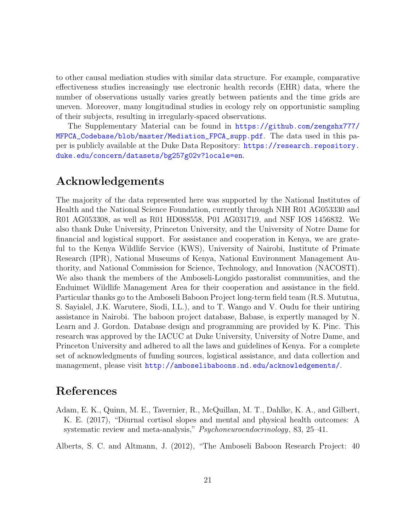to other causal mediation studies with similar data structure. For example, comparative effectiveness studies increasingly use electronic health records (EHR) data, where the number of observations usually varies greatly between patients and the time grids are uneven. Moreover, many longitudinal studies in ecology rely on opportunistic sampling of their subjects, resulting in irregularly-spaced observations.

The Supplementary Material can be found in [https://github.com/zengshx777/](https://github.com/zengshx777/MFPCA_Codebase/blob/master/Mediation_FPCA_supp.pdf) [MFPCA\\_Codebase/blob/master/Mediation\\_FPCA\\_supp.pdf](https://github.com/zengshx777/MFPCA_Codebase/blob/master/Mediation_FPCA_supp.pdf). The data used in this paper is publicly available at the Duke Data Repository: [https://research.repository.](https://research.repository.duke.edu/concern/datasets/bg257g02v?locale=en) [duke.edu/concern/datasets/bg257g02v?locale=en](https://research.repository.duke.edu/concern/datasets/bg257g02v?locale=en).

### Acknowledgements

The majority of the data represented here was supported by the National Institutes of Health and the National Science Foundation, currently through NIH R01 AG053330 and R01 AG053308, as well as R01 HD088558, P01 AG031719, and NSF IOS 1456832. We also thank Duke University, Princeton University, and the University of Notre Dame for financial and logistical support. For assistance and cooperation in Kenya, we are grateful to the Kenya Wildlife Service (KWS), University of Nairobi, Institute of Primate Research (IPR), National Museums of Kenya, National Environment Management Authority, and National Commission for Science, Technology, and Innovation (NACOSTI). We also thank the members of the Amboseli-Longido pastoralist communities, and the Enduimet Wildlife Management Area for their cooperation and assistance in the field. Particular thanks go to the Amboseli Baboon Project long-term field team (R.S. Mututua, S. Sayialel, J.K. Warutere, Siodi, I.L.), and to T. Wango and V. Oudu for their untiring assistance in Nairobi. The baboon project database, Babase, is expertly managed by N. Learn and J. Gordon. Database design and programming are provided by K. Pinc. This research was approved by the IACUC at Duke University, University of Notre Dame, and Princeton University and adhered to all the laws and guidelines of Kenya. For a complete set of acknowledgments of funding sources, logistical assistance, and data collection and management, please visit <http://amboselibaboons.nd.edu/acknowledgements/>.

## References

<span id="page-20-1"></span>Adam, E. K., Quinn, M. E., Tavernier, R., McQuillan, M. T., Dahlke, K. A., and Gilbert, K. E. (2017), "Diurnal cortisol slopes and mental and physical health outcomes: A systematic review and meta-analysis," Psychoneuroendocrinology, 83, 25–41.

<span id="page-20-0"></span>Alberts, S. C. and Altmann, J. (2012), "The Amboseli Baboon Research Project: 40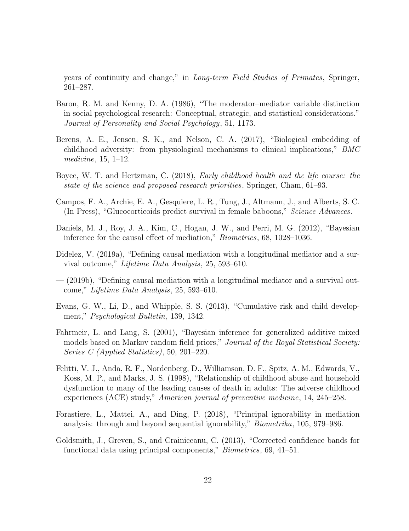years of continuity and change," in Long-term Field Studies of Primates, Springer, 261–287.

- <span id="page-21-0"></span>Baron, R. M. and Kenny, D. A. (1986), "The moderator–mediator variable distinction in social psychological research: Conceptual, strategic, and statistical considerations." Journal of Personality and Social Psychology, 51, 1173.
- <span id="page-21-4"></span>Berens, A. E., Jensen, S. K., and Nelson, C. A. (2017), "Biological embedding of childhood adversity: from physiological mechanisms to clinical implications," BMC medicine, 15, 1–12.
- <span id="page-21-8"></span>Boyce, W. T. and Hertzman, C. (2018), Early childhood health and the life course: the state of the science and proposed research priorities, Springer, Cham, 61–93.
- <span id="page-21-7"></span>Campos, F. A., Archie, E. A., Gesquiere, L. R., Tung, J., Altmann, J., and Alberts, S. C. (In Press), "Glucocorticoids predict survival in female baboons," Science Advances.
- <span id="page-21-1"></span>Daniels, M. J., Roy, J. A., Kim, C., Hogan, J. W., and Perri, M. G. (2012), "Bayesian inference for the causal effect of mediation," Biometrics, 68, 1028–1036.
- <span id="page-21-2"></span>Didelez, V. (2019a), "Defining causal mediation with a longitudinal mediator and a survival outcome," Lifetime Data Analysis, 25, 593–610.
- <span id="page-21-3"></span>— (2019b), "Defining causal mediation with a longitudinal mediator and a survival outcome," Lifetime Data Analysis, 25, 593–610.
- <span id="page-21-5"></span>Evans, G. W., Li, D., and Whipple, S. S. (2013), "Cumulative risk and child development," Psychological Bulletin, 139, 1342.
- <span id="page-21-11"></span>Fahrmeir, L. and Lang, S. (2001), "Bayesian inference for generalized additive mixed models based on Markov random field priors," Journal of the Royal Statistical Society: Series C (Applied Statistics), 50, 201–220.
- <span id="page-21-6"></span>Felitti, V. J., Anda, R. F., Nordenberg, D., Williamson, D. F., Spitz, A. M., Edwards, V., Koss, M. P., and Marks, J. S. (1998), "Relationship of childhood abuse and household dysfunction to many of the leading causes of death in adults: The adverse childhood experiences (ACE) study," American journal of preventive medicine, 14, 245–258.
- <span id="page-21-9"></span>Forastiere, L., Mattei, A., and Ding, P. (2018), "Principal ignorability in mediation analysis: through and beyond sequential ignorability," Biometrika, 105, 979–986.
- <span id="page-21-10"></span>Goldsmith, J., Greven, S., and Crainiceanu, C. (2013), "Corrected confidence bands for functional data using principal components," *Biometrics*, 69, 41–51.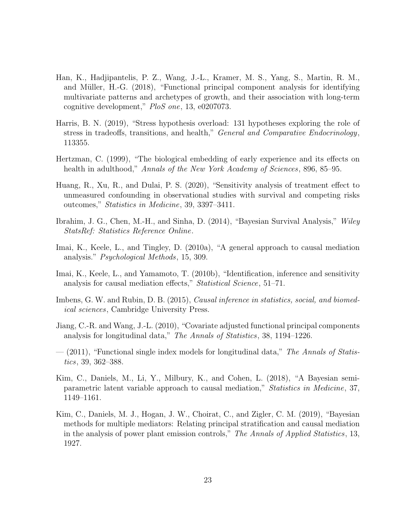- <span id="page-22-5"></span>Han, K., Hadjipantelis, P. Z., Wang, J.-L., Kramer, M. S., Yang, S., Martin, R. M., and Müller, H.-G. (2018), "Functional principal component analysis for identifying multivariate patterns and archetypes of growth, and their association with long-term cognitive development," PloS one, 13, e0207073.
- <span id="page-22-7"></span>Harris, B. N. (2019), "Stress hypothesis overload: 131 hypotheses exploring the role of stress in tradeoffs, transitions, and health," General and Comparative Endocrinology, 113355.
- <span id="page-22-6"></span>Hertzman, C. (1999), "The biological embedding of early experience and its effects on health in adulthood," Annals of the New York Academy of Sciences, 896, 85–95.
- <span id="page-22-11"></span>Huang, R., Xu, R., and Dulai, P. S. (2020), "Sensitivity analysis of treatment effect to unmeasured confounding in observational studies with survival and competing risks outcomes," Statistics in Medicine, 39, 3397–3411.
- <span id="page-22-10"></span>Ibrahim, J. G., Chen, M.-H., and Sinha, D. (2014), "Bayesian Survival Analysis," Wiley StatsRef: Statistics Reference Online.
- <span id="page-22-9"></span>Imai, K., Keele, L., and Tingley, D. (2010a), "A general approach to causal mediation analysis." Psychological Methods, 15, 309.
- <span id="page-22-0"></span>Imai, K., Keele, L., and Yamamoto, T. (2010b), "Identification, inference and sensitivity analysis for causal mediation effects," Statistical Science, 51–71.
- <span id="page-22-8"></span>Imbens, G. W. and Rubin, D. B. (2015), *Causal inference in statistics, social, and biomed*ical sciences, Cambridge University Press.
- <span id="page-22-3"></span>Jiang, C.-R. and Wang, J.-L. (2010), "Covariate adjusted functional principal components analysis for longitudinal data," The Annals of Statistics, 38, 1194–1226.
- <span id="page-22-4"></span> $-$  (2011), "Functional single index models for longitudinal data," The Annals of Statistics, 39, 362–388.
- <span id="page-22-2"></span>Kim, C., Daniels, M., Li, Y., Milbury, K., and Cohen, L. (2018), "A Bayesian semiparametric latent variable approach to causal mediation," Statistics in Medicine, 37, 1149–1161.
- <span id="page-22-1"></span>Kim, C., Daniels, M. J., Hogan, J. W., Choirat, C., and Zigler, C. M. (2019), "Bayesian methods for multiple mediators: Relating principal stratification and causal mediation in the analysis of power plant emission controls," The Annals of Applied Statistics, 13, 1927.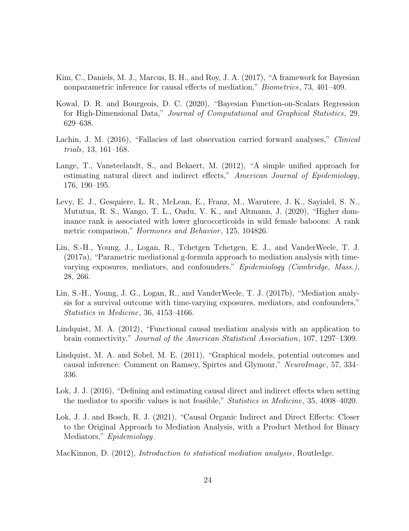- <span id="page-23-3"></span>Kim, C., Daniels, M. J., Marcus, B. H., and Roy, J. A. (2017), "A framework for Bayesian nonparametric inference for causal effects of mediation," Biometrics, 73, 401–409.
- <span id="page-23-6"></span>Kowal, D. R. and Bourgeois, D. C. (2020), "Bayesian Function-on-Scalars Regression for High-Dimensional Data," Journal of Computational and Graphical Statistics, 29, 629–638.
- <span id="page-23-5"></span>Lachin, J. M. (2016), "Fallacies of last observation carried forward analyses," *Clinical* trials, 13, 161–168.
- <span id="page-23-7"></span>Lange, T., Vansteelandt, S., and Bekaert, M. (2012), "A simple unified approach for estimating natural direct and indirect effects," American Journal of Epidemiology, 176, 190–195.
- <span id="page-23-9"></span>Levy, E. J., Gesquiere, L. R., McLean, E., Franz, M., Warutere, J. K., Sayialel, S. N., Mututua, R. S., Wango, T. L., Oudu, V. K., and Altmann, J. (2020), "Higher dominance rank is associated with lower glucocorticoids in wild female baboons: A rank metric comparison," *Hormones and Behavior*, 125, 104826.
- <span id="page-23-4"></span>Lin, S.-H., Young, J., Logan, R., Tchetgen Tchetgen, E. J., and VanderWeele, T. J. (2017a), "Parametric mediational g-formula approach to mediation analysis with timevarying exposures, mediators, and confounders," Epidemiology (Cambridge, Mass.), 28, 266.
- <span id="page-23-8"></span>Lin, S.-H., Young, J. G., Logan, R., and VanderWeele, T. J. (2017b), "Mediation analysis for a survival outcome with time-varying exposures, mediators, and confounders," Statistics in Medicine, 36, 4153–4166.
- <span id="page-23-2"></span>Lindquist, M. A. (2012), "Functional causal mediation analysis with an application to brain connectivity," Journal of the American Statistical Association, 107, 1297–1309.
- <span id="page-23-1"></span>Lindquist, M. A. and Sobel, M. E. (2011), "Graphical models, potential outcomes and causal inference: Comment on Ramsey, Spirtes and Glymour," NeuroImage, 57, 334– 336.
- <span id="page-23-10"></span>Lok, J. J. (2016), "Defining and estimating causal direct and indirect effects when setting the mediator to specific values is not feasible," Statistics in Medicine, 35, 4008–4020.
- <span id="page-23-11"></span>Lok, J. J. and Bosch, R. J. (2021), "Causal Organic Indirect and Direct Effects: Closer to the Original Approach to Mediation Analysis, with a Product Method for Binary Mediators," Epidemiology.
- <span id="page-23-0"></span>MacKinnon, D. (2012), Introduction to statistical mediation analysis, Routledge.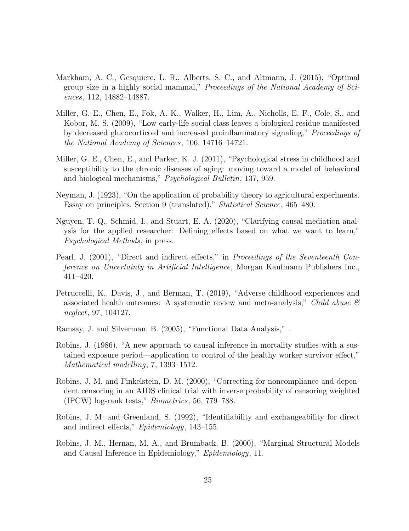- <span id="page-24-10"></span>Markham, A. C., Gesquiere, L. R., Alberts, S. C., and Altmann, J. (2015), "Optimal group size in a highly social mammal," Proceedings of the National Academy of Sciences, 112, 14882–14887.
- <span id="page-24-7"></span>Miller, G. E., Chen, E., Fok, A. K., Walker, H., Lim, A., Nicholls, E. F., Cole, S., and Kobor, M. S. (2009), "Low early-life social class leaves a biological residue manifested by decreased glucocorticoid and increased proinflammatory signaling," Proceedings of the National Academy of Sciences, 106, 14716–14721.
- <span id="page-24-8"></span>Miller, G. E., Chen, E., and Parker, K. J. (2011), "Psychological stress in childhood and susceptibility to the chronic diseases of aging: moving toward a model of behavioral and biological mechanisms," Psychological Bulletin, 137, 959.
- <span id="page-24-0"></span>Neyman, J. (1923), "On the application of probability theory to agricultural experiments. Essay on principles. Section 9 (translated)." Statistical Science, 465–480.
- <span id="page-24-3"></span>Nguyen, T. Q., Schmid, I., and Stuart, E. A. (2020), "Clarifying causal mediation analysis for the applied researcher: Defining effects based on what we want to learn," Psychological Methods, in press.
- <span id="page-24-2"></span>Pearl, J. (2001), "Direct and indirect effects," in Proceedings of the Seventeenth Conference on Uncertainty in Artificial Intelligence, Morgan Kaufmann Publishers Inc., 411–420.
- <span id="page-24-9"></span>Petruccelli, K., Davis, J., and Berman, T. (2019), "Adverse childhood experiences and associated health outcomes: A systematic review and meta-analysis," Child abuse  $\mathcal{C}$ neglect, 97, 104127.
- <span id="page-24-5"></span>Ramsay, J. and Silverman, B. (2005), "Functional Data Analysis," .
- <span id="page-24-6"></span>Robins, J. (1986), "A new approach to causal inference in mortality studies with a sustained exposure period—application to control of the healthy worker survivor effect," Mathematical modelling, 7, 1393–1512.
- <span id="page-24-11"></span>Robins, J. M. and Finkelstein, D. M. (2000), "Correcting for noncompliance and dependent censoring in an AIDS clinical trial with inverse probability of censoring weighted (IPCW) log-rank tests," Biometrics, 56, 779–788.
- <span id="page-24-1"></span>Robins, J. M. and Greenland, S. (1992), "Identifiability and exchangeability for direct and indirect effects," Epidemiology, 143–155.
- <span id="page-24-4"></span>Robins, J. M., Hernan, M. A., and Brumback, B. (2000), "Marginal Structural Models and Causal Inference in Epidemiology," Epidemiology, 11.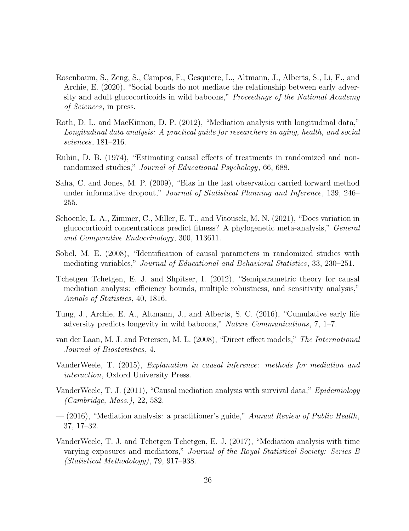- <span id="page-25-12"></span>Rosenbaum, S., Zeng, S., Campos, F., Gesquiere, L., Altmann, J., Alberts, S., Li, F., and Archie, E. (2020), "Social bonds do not mediate the relationship between early adversity and adult glucocorticoids in wild baboons," Proceedings of the National Academy of Sciences, in press.
- <span id="page-25-6"></span>Roth, D. L. and MacKinnon, D. P. (2012), "Mediation analysis with longitudinal data," Longitudinal data analysis: A practical guide for researchers in aging, health, and social sciences, 181–216.
- <span id="page-25-0"></span>Rubin, D. B. (1974), "Estimating causal effects of treatments in randomized and nonrandomized studies," Journal of Educational Psychology, 66, 688.
- <span id="page-25-8"></span>Saha, C. and Jones, M. P. (2009), "Bias in the last observation carried forward method under informative dropout," Journal of Statistical Planning and Inference, 139, 246– 255.
- <span id="page-25-10"></span>Schoenle, L. A., Zimmer, C., Miller, E. T., and Vitousek, M. N. (2021), "Does variation in glucocorticoid concentrations predict fitness? A phylogenetic meta-analysis," General and Comparative Endocrinology, 300, 113611.
- <span id="page-25-1"></span>Sobel, M. E. (2008), "Identification of causal parameters in randomized studies with mediating variables," Journal of Educational and Behavioral Statistics, 33, 230–251.
- <span id="page-25-2"></span>Tchetgen Tchetgen, E. J. and Shpitser, I. (2012), "Semiparametric theory for causal mediation analysis: efficiency bounds, multiple robustness, and sensitivity analysis," Annals of Statistics, 40, 1816.
- <span id="page-25-11"></span>Tung, J., Archie, E. A., Altmann, J., and Alberts, S. C. (2016), "Cumulative early life adversity predicts longevity in wild baboons," Nature Communications, 7, 1–7.
- <span id="page-25-5"></span>van der Laan, M. J. and Petersen, M. L. (2008), "Direct effect models," The International Journal of Biostatistics, 4.
- <span id="page-25-4"></span>VanderWeele, T. (2015), Explanation in causal inference: methods for mediation and interaction, Oxford University Press.
- <span id="page-25-9"></span>VanderWeele, T. J. (2011), "Causal mediation analysis with survival data," Epidemiology (Cambridge, Mass.), 22, 582.
- <span id="page-25-3"></span> $-$  (2016), "Mediation analysis: a practitioner's guide," Annual Review of Public Health, 37, 17–32.
- <span id="page-25-7"></span>VanderWeele, T. J. and Tchetgen Tchetgen, E. J. (2017), "Mediation analysis with time varying exposures and mediators," Journal of the Royal Statistical Society: Series B (Statistical Methodology), 79, 917–938.